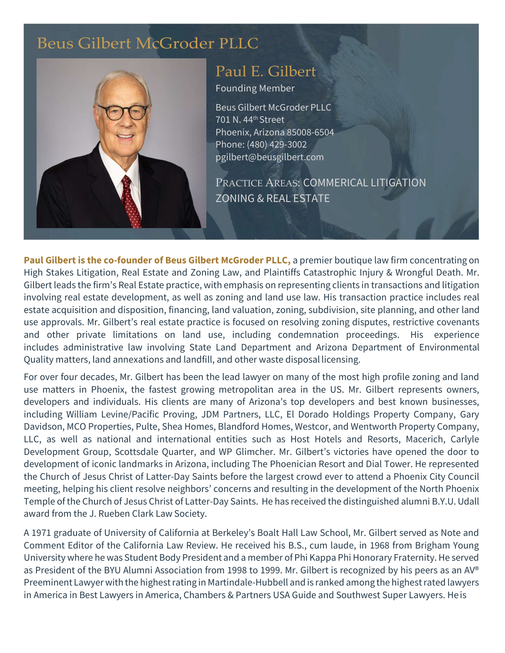# [Beus Gilbert McGroder](https://beusgilbert.com/) PLLC



## [Paul E. Gilbert](https://beusgilbert.com/team/paul-gilbert/)

Founding Member

Beus Gilbert McGroder PLLC 701 N. 44th Street Phoenix, Arizona 85008-6504 Phone: (480) 429-3002 [pgilbert@beusgilbert.com](mailto:pgilbert@beusgilbert.com)

PRACTICE AREAS: COMMERICAL LITIGATION ZONING & REAL ESTATE

**Paul Gilbert is the co-founder of Beus Gilbert McGroder PLLC,** a premier boutique law firm concentrating on High Stakes Litigation, Real Estate and Zoning Law, and Plaintiffs Catastrophic Injury & Wrongful Death. Mr. Gilbert leads the firm's Real Estate practice, with emphasis on representing clients in transactions and litigation involving real estate development, as well as zoning and land use law. His transaction practice includes real estate acquisition and disposition, financing, land valuation, zoning, subdivision, site planning, and other land use approvals. Mr. Gilbert's real estate practice is focused on resolving zoning disputes, restrictive covenants and other private limitations on land use, including condemnation proceedings. His experience includes administrative law involving State Land Department and Arizona Department of Environmental Quality matters, land annexations and landfill, and other waste disposal licensing.

For over four decades, Mr. Gilbert has been the lead lawyer on many of the most high profile zoning and land use matters in Phoenix, the fastest growing metropolitan area in the US. Mr. Gilbert represents owners, developers and individuals. His clients are many of Arizona's top developers and best known businesses, including William Levine/Pacific Proving, JDM Partners, LLC, El Dorado Holdings Property Company, Gary Davidson, MCO Properties, Pulte, Shea Homes, Blandford Homes, Westcor, and Wentworth Property Company, LLC, as well as national and international entities such as Host Hotels and Resorts, Macerich, Carlyle Development Group, Scottsdale Quarter, and WP Glimcher. Mr. Gilbert's victories have opened the door to development of iconic landmarks in Arizona, including The Phoenician Resort and Dial Tower. He represented the Church of Jesus Christ of Latter-Day Saints before the largest crowd ever to attend a Phoenix City Council meeting, helping his client resolve neighbors' concerns and resulting in the development of the North Phoenix Temple ofthe Church of Jesus Christ of Latter-Day Saints. He has received the distinguished alumni B.Y.U.Udall award from the J. Rueben Clark Law Society.

A 1971 graduate of University of California at Berkeley's Boalt Hall Law School, Mr. Gilbert served as Note and Comment Editor of the California Law Review. He received his B.S., cum laude, in 1968 from Brigham Young University where he was Student Body President and a member of Phi Kappa Phi Honorary Fraternity.He served as President of the BYU Alumni Association from 1998 to 1999. Mr. Gilbert is recognized by his peers as an AV® Preeminent Lawyer with the highest rating in Martindale-Hubbell and is ranked among the highest rated lawyers in America in Best Lawyers in America, Chambers & Partners USA Guide and Southwest Super Lawyers. He is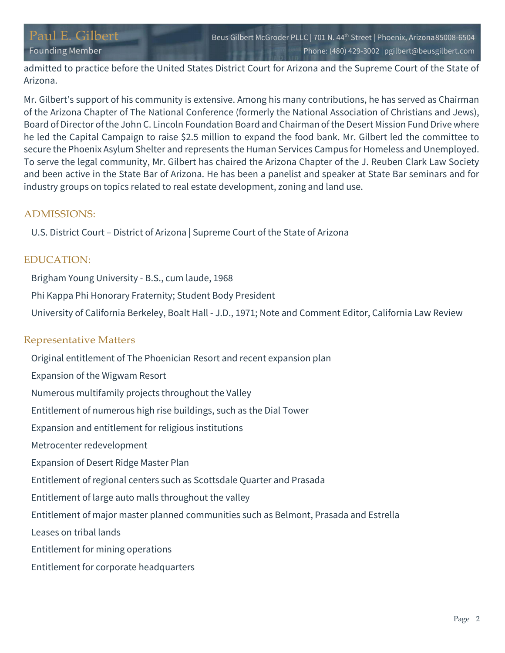admitted to practice before the United States District Court for Arizona and the Supreme Court of the State of Arizona.

Mr. Gilbert's support of his community is extensive. Among his many contributions, he has served as Chairman of the Arizona Chapter of The National Conference (formerly the National Association of Christians and Jews), Board of Director ofthe John C. Lincoln Foundation Board and Chairman ofthe Desert Mission Fund Drive where he led the Capital Campaign to raise \$2.5 million to expand the food bank. Mr. Gilbert led the committee to secure the Phoenix Asylum Shelter and represents the Human Services Campus for Homeless and Unemployed. To serve the legal community, Mr. Gilbert has chaired the Arizona Chapter of the J. Reuben Clark Law Society and been active in the State Bar of Arizona. He has been a panelist and speaker at State Bar seminars and for industry groups on topics related to real estate development, zoning and land use.

## ADMISSIONS:

U.S. District Court – District of Arizona | Supreme Court of the State of Arizona

## EDUCATION:

Brigham Young University - B.S., cum laude, 1968

Phi Kappa Phi Honorary Fraternity; Student Body President

University of California Berkeley, Boalt Hall - J.D., 1971; Note and Comment Editor, California Law Review

## Representative Matters

Original entitlement of The Phoenician Resort and recent expansion plan

- Expansion of the Wigwam Resort
- Numerous multifamily projects throughout the Valley

Entitlement of numerous high rise buildings, such as the Dial Tower

- Expansion and entitlement for religious institutions
- Metrocenter redevelopment
- Expansion of Desert Ridge Master Plan
- Entitlement of regional centers such as Scottsdale Quarter and Prasada
- Entitlement of large auto malls throughout the valley
- Entitlement of major master planned communities such as Belmont, Prasada and Estrella
- Leases on tribal lands
- Entitlement for mining operations
- Entitlement for corporate headquarters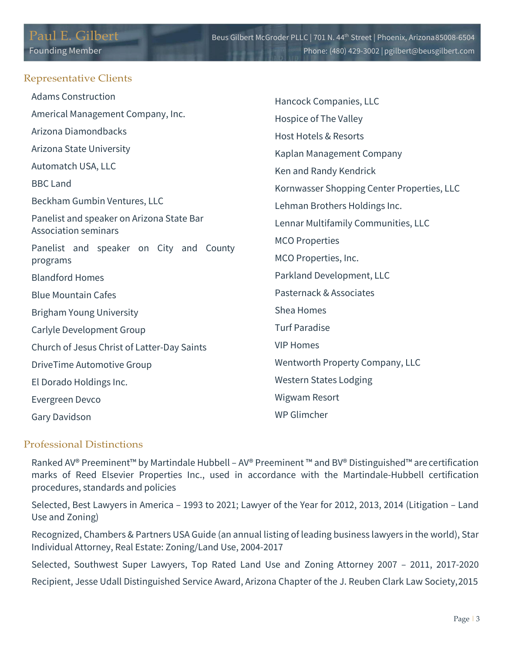#### Representative Clients

| <b>Adams Construction</b>                                                | Hancock Companies, LLC                     |
|--------------------------------------------------------------------------|--------------------------------------------|
| Americal Management Company, Inc.                                        | Hospice of The Valley                      |
| Arizona Diamondbacks                                                     | <b>Host Hotels &amp; Resorts</b>           |
| Arizona State University                                                 | Kaplan Management Company                  |
| Automatch USA, LLC                                                       | Ken and Randy Kendrick                     |
| <b>BBC Land</b>                                                          | Kornwasser Shopping Center Properties, LLC |
| Beckham Gumbin Ventures, LLC                                             | Lehman Brothers Holdings Inc.              |
| Panelist and speaker on Arizona State Bar<br><b>Association seminars</b> | Lennar Multifamily Communities, LLC        |
| Panelist and speaker on City and County                                  | <b>MCO Properties</b>                      |
| programs                                                                 | MCO Properties, Inc.                       |
| <b>Blandford Homes</b>                                                   | Parkland Development, LLC                  |
| <b>Blue Mountain Cafes</b>                                               | Pasternack & Associates                    |
| <b>Brigham Young University</b>                                          | Shea Homes                                 |
| Carlyle Development Group                                                | <b>Turf Paradise</b>                       |
| Church of Jesus Christ of Latter-Day Saints                              | <b>VIP Homes</b>                           |
| <b>DriveTime Automotive Group</b>                                        | Wentworth Property Company, LLC            |
| El Dorado Holdings Inc.                                                  | <b>Western States Lodging</b>              |
| Evergreen Devco                                                          | Wigwam Resort                              |
| Gary Davidson                                                            | WP Glimcher                                |

## Professional Distinctions

Ranked AV® Preeminent™ by Martindale Hubbell – AV® Preeminent ™ and BV® Distinguished™ are certification marks of Reed Elsevier Properties Inc., used in accordance with the Martindale-Hubbell certification procedures, standards and policies

Selected, Best Lawyers in America – 1993 to 2021; Lawyer of the Year for 2012, 2013, 2014 (Litigation – Land Use and Zoning)

Recognized, Chambers & Partners USA Guide (an annual listing of leading business lawyers in the world), Star Individual Attorney, Real Estate: Zoning/Land Use, 2004-2017

Selected, Southwest Super Lawyers, Top Rated Land Use and Zoning Attorney 2007 – 2011, 2017-2020 Recipient, Jesse Udall Distinguished Service Award, Arizona Chapter of the J. Reuben Clark Law Society,2015